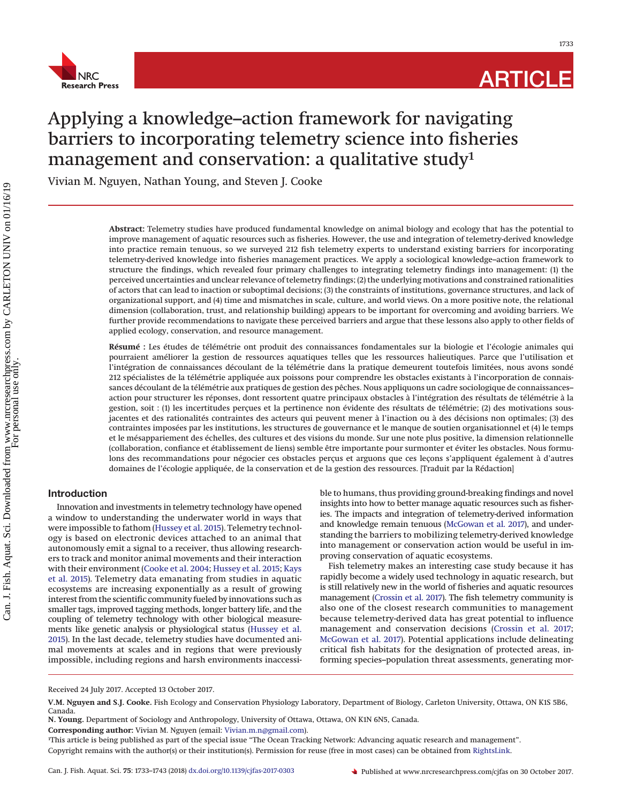

1733

# Applying a knowledge–action framework for navigating barriers to incorporating telemetry science into fisheries management and conservation: a qualitative study<sup>1</sup>

Vivian M. Nguyen, Nathan Young, and Steven J. Cooke

**Abstract:** Telemetry studies have produced fundamental knowledge on animal biology and ecology that has the potential to improve management of aquatic resources such as fisheries. However, the use and integration of telemetry-derived knowledge into practice remain tenuous, so we surveyed 212 fish telemetry experts to understand existing barriers for incorporating telemetry-derived knowledge into fisheries management practices. We apply a sociological knowledge–action framework to structure the findings, which revealed four primary challenges to integrating telemetry findings into management: (1) the perceived uncertainties and unclear relevance of telemetry findings; (2) the underlying motivations and constrained rationalities of actors that can lead to inaction or suboptimal decisions; (3) the constraints of institutions, governance structures, and lack of organizational support, and (4) time and mismatches in scale, culture, and world views. On a more positive note, the relational dimension (collaboration, trust, and relationship building) appears to be important for overcoming and avoiding barriers. We further provide recommendations to navigate these perceived barriers and argue that these lessons also apply to other fields of applied ecology, conservation, and resource management.

**Résumé :** Les études de télémétrie ont produit des connaissances fondamentales sur la biologie et l'écologie animales qui pourraient améliorer la gestion de ressources aquatiques telles que les ressources halieutiques. Parce que l'utilisation et l'intégration de connaissances découlant de la télémétrie dans la pratique demeurent toutefois limitées, nous avons sondé 212 spécialistes de la télémétrie appliquée aux poissons pour comprendre les obstacles existants à l'incorporation de connaissances découlant de la télémétrie aux pratiques de gestion des pêches. Nous appliquons un cadre sociologique de connaissances– action pour structurer les réponses, dont ressortent quatre principaux obstacles à l'intégration des résultats de télémétrie à la gestion, soit : (1) les incertitudes perçues et la pertinence non évidente des résultats de télémétrie; (2) des motivations sousjacentes et des rationalités contraintes des acteurs qui peuvent mener à l'inaction ou à des décisions non optimales; (3) des contraintes imposées par les institutions, les structures de gouvernance et le manque de soutien organisationnel et (4) le temps et le mésappariement des échelles, des cultures et des visions du monde. Sur une note plus positive, la dimension relationnelle (collaboration, confiance et établissement de liens) semble être importante pour surmonter et éviter les obstacles. Nous formulons des recommandations pour négocier ces obstacles perçus et arguons que ces leçons s'appliquent également à d'autres domaines de l'écologie appliquée, de la conservation et de la gestion des ressources. [Traduit par la Rédaction]

# **Introduction**

Innovation and investments in telemetry technology have opened a window to understanding the underwater world in ways that were impossible to fathom [\(Hussey et al. 2015\)](#page-9-0). Telemetry technology is based on electronic devices attached to an animal that autonomously emit a signal to a receiver, thus allowing researchers to track and monitor animal movements and their interaction with their environment [\(Cooke et al. 2004;](#page-9-1) [Hussey et al. 2015;](#page-9-0) [Kays](#page-9-2) [et al. 2015\)](#page-9-2). Telemetry data emanating from studies in aquatic ecosystems are increasing exponentially as a result of growing interest from the scientific community fueled by innovations such as smaller tags, improved tagging methods, longer battery life, and the coupling of telemetry technology with other biological measurements like genetic analysis or physiological status [\(Hussey et al.](#page-9-0) [2015\)](#page-9-0). In the last decade, telemetry studies have documented animal movements at scales and in regions that were previously impossible, including regions and harsh environments inaccessi-

ble to humans, thus providing ground-breaking findings and novel insights into how to better manage aquatic resources such as fisheries. The impacts and integration of telemetry-derived information and knowledge remain tenuous [\(McGowan et al. 2017\)](#page-10-0), and understanding the barriers to mobilizing telemetry-derived knowledge into management or conservation action would be useful in improving conservation of aquatic ecosystems.

Fish telemetry makes an interesting case study because it has rapidly become a widely used technology in aquatic research, but is still relatively new in the world of fisheries and aquatic resources management [\(Crossin et al. 2017\)](#page-9-3). The fish telemetry community is also one of the closest research communities to management because telemetry-derived data has great potential to influence management and conservation decisions [\(Crossin et al. 2017;](#page-9-3) [McGowan et al. 2017\)](#page-10-0). Potential applications include delineating critical fish habitats for the designation of protected areas, informing species–population threat assessments, generating mor-

Received 24 July 2017. Accepted 13 October 2017.

**V.M. Nguyen and S.J. Cooke.** Fish Ecology and Conservation Physiology Laboratory, Department of Biology, Carleton University, Ottawa, ON K1S 5B6, Canada.

**N. Young.** Department of Sociology and Anthropology, University of Ottawa, Ottawa, ON K1N 6N5, Canada.

**Corresponding author:** Vivian M. Nguyen (email: [Vivian.m.n@gmail.com\)](mailto:Vivian.m.n@gmail.com).

<sup>1</sup> This article is being published as part of the special issue "The Ocean Tracking Network: Advancing aquatic research and management". Copyright remains with the author(s) or their institution(s). Permission for reuse (free in most cases) can be obtained from [RightsLink.](http://www.nrcresearchpress.com/page/authors/services/reprints)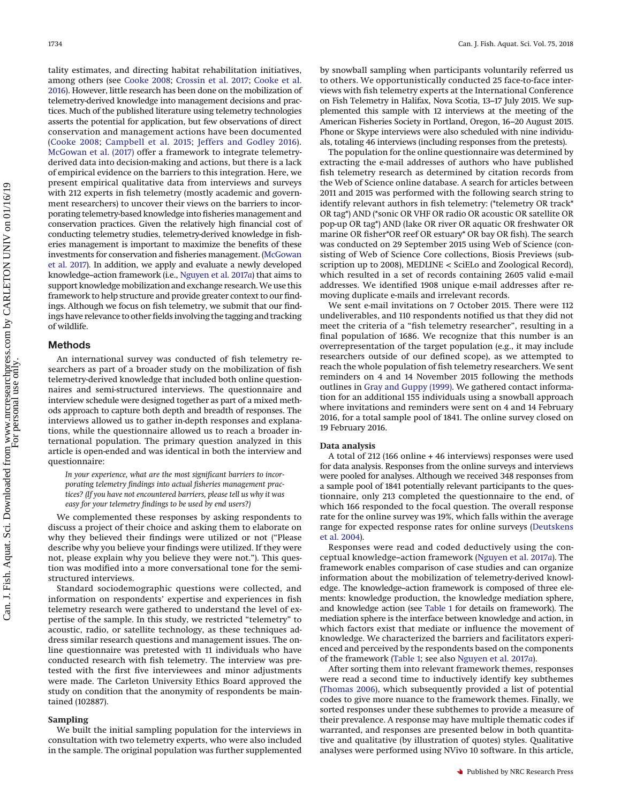tality estimates, and directing habitat rehabilitation initiatives, among others (see [Cooke 2008;](#page-9-4) [Crossin et al. 2017;](#page-9-3) [Cooke et al.](#page-9-5) [2016\)](#page-9-5). However, little research has been done on the mobilization of telemetry-derived knowledge into management decisions and practices. Much of the published literature using telemetry technologies asserts the potential for application, but few observations of direct conservation and management actions have been documented [\(Cooke 2008;](#page-9-4) [Campbell et al. 2015;](#page-9-6) [Jeffers and Godley 2016\)](#page-9-7). [McGowan et al. \(2017\)](#page-10-0) offer a framework to integrate telemetryderived data into decision-making and actions, but there is a lack of empirical evidence on the barriers to this integration. Here, we present empirical qualitative data from interviews and surveys with 212 experts in fish telemetry (mostly academic and government researchers) to uncover their views on the barriers to incorporating telemetry-based knowledge into fisheries management and conservation practices. Given the relatively high financial cost of conducting telemetry studies, telemetry-derived knowledge in fisheries management is important to maximize the benefits of these investments for conservation and fisheries management. [\(McGowan](#page-10-0) [et al. 2017\)](#page-10-0). In addition, we apply and evaluate a newly developed knowledge–action framework (i.e., [Nguyen et al. 2017](#page-10-1)*a*) that aims to support knowledge mobilization and exchange research. We use this framework to help structure and provide greater context to our findings. Although we focus on fish telemetry, we submit that our findings have relevance to other fields involving the tagging and tracking of wildlife.

#### **Methods**

An international survey was conducted of fish telemetry researchers as part of a broader study on the mobilization of fish telemetry-derived knowledge that included both online questionnaires and semi-structured interviews. The questionnaire and interview schedule were designed together as part of a mixed methods approach to capture both depth and breadth of responses. The interviews allowed us to gather in-depth responses and explanations, while the questionnaire allowed us to reach a broader international population. The primary question analyzed in this article is open-ended and was identical in both the interview and questionnaire:

*In your experience, what are the most significant barriers to incorporating telemetry findings into actual fisheries management practices? (If you have not encountered barriers, please tell us why it was easy for your telemetry findings to be used by end users?)*

We complemented these responses by asking respondents to discuss a project of their choice and asking them to elaborate on why they believed their findings were utilized or not ("Please describe why you believe your findings were utilized. If they were not, please explain why you believe they were not."). This question was modified into a more conversational tone for the semistructured interviews.

Standard sociodemographic questions were collected, and information on respondents' expertise and experiences in fish telemetry research were gathered to understand the level of expertise of the sample. In this study, we restricted "telemetry" to acoustic, radio, or satellite technology, as these techniques address similar research questions and management issues. The online questionnaire was pretested with 11 individuals who have conducted research with fish telemetry. The interview was pretested with the first five interviewees and minor adjustments were made. The Carleton University Ethics Board approved the study on condition that the anonymity of respondents be maintained (102887).

#### **Sampling**

We built the initial sampling population for the interviews in consultation with two telemetry experts, who were also included in the sample. The original population was further supplemented by snowball sampling when participants voluntarily referred us to others. We opportunistically conducted 25 face-to-face interviews with fish telemetry experts at the International Conference on Fish Telemetry in Halifax, Nova Scotia, 13–17 July 2015. We supplemented this sample with 12 interviews at the meeting of the American Fisheries Society in Portland, Oregon, 16–20 August 2015. Phone or Skype interviews were also scheduled with nine individuals, totaling 46 interviews (including responses from the pretests).

The population for the online questionnaire was determined by extracting the e-mail addresses of authors who have published fish telemetry research as determined by citation records from the Web of Science online database. A search for articles between 2011 and 2015 was performed with the following search string to identify relevant authors in fish telemetry: (\*telemetry OR track\* OR tag\*) AND (\*sonic OR VHF OR radio OR acoustic OR satellite OR pop-up OR tag\*) AND (lake OR river OR aquatic OR freshwater OR marine OR fisher\*OR reef OR estuary\* OR bay OR fish). The search was conducted on 29 September 2015 using Web of Science (consisting of Web of Science Core collections, Biosis Previews (subscription up to 2008), MEDLINE < SciELo and Zoological Record), which resulted in a set of records containing 2605 valid e-mail addresses. We identified 1908 unique e-mail addresses after removing duplicate e-mails and irrelevant records.

We sent e-mail invitations on 7 October 2015. There were 112 undeliverables, and 110 respondents notified us that they did not meet the criteria of a "fish telemetry researcher", resulting in a final population of 1686. We recognize that this number is an overrepresentation of the target population (e.g., it may include researchers outside of our defined scope), as we attempted to reach the whole population of fish telemetry researchers. We sent reminders on 4 and 14 November 2015 following the methods outlines in [Gray and Guppy \(1999\).](#page-9-8) We gathered contact information for an additional 155 individuals using a snowball approach where invitations and reminders were sent on 4 and 14 February 2016, for a total sample pool of 1841. The online survey closed on 19 February 2016.

#### **Data analysis**

A total of 212 (166 online + 46 interviews) responses were used for data analysis. Responses from the online surveys and interviews were pooled for analyses. Although we received 348 responses from a sample pool of 1841 potentially relevant participants to the questionnaire, only 213 completed the questionnaire to the end, of which 166 responded to the focal question. The overall response rate for the online survey was 19%, which falls within the average range for expected response rates for online surveys [\(Deutskens](#page-9-9) [et al. 2004\)](#page-9-9).

Responses were read and coded deductively using the conceptual knowledge–action framework [\(Nguyen et al. 2017](#page-10-1)*a*). The framework enables comparison of case studies and can organize information about the mobilization of telemetry-derived knowledge. The knowledge–action framework is composed of three elements: knowledge production, the knowledge mediation sphere, and knowledge action (see [Table 1](#page-2-0) for details on framework). The mediation sphere is the interface between knowledge and action, in which factors exist that mediate or influence the movement of knowledge. We characterized the barriers and facilitators experienced and perceived by the respondents based on the components of the framework [\(Table 1;](#page-2-0) see also [Nguyen et al. 2017](#page-10-1)*a*).

After sorting them into relevant framework themes, responses were read a second time to inductively identify key subthemes [\(Thomas 2006\)](#page-10-2), which subsequently provided a list of potential codes to give more nuance to the framework themes. Finally, we sorted responses under these subthemes to provide a measure of their prevalence. A response may have multiple thematic codes if warranted, and responses are presented below in both quantitative and qualitative (by illustration of quotes) styles. Qualitative analyses were performed using NVivo 10 software. In this article,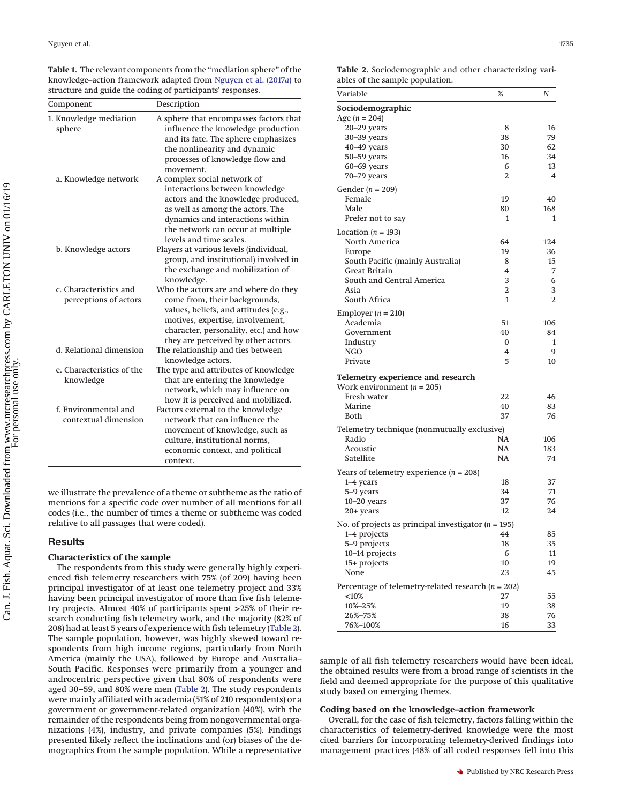<span id="page-2-0"></span>**Table 1.** The relevant components from the "mediation sphere" of the knowledge–action framework adapted from [Nguyen et al. \(2017](#page-10-1)*a*) to structure and guide the coding of participants' responses.

| Component                                       | Description                                                                                                                                                                                                                                 |
|-------------------------------------------------|---------------------------------------------------------------------------------------------------------------------------------------------------------------------------------------------------------------------------------------------|
| 1. Knowledge mediation<br>sphere                | A sphere that encompasses factors that<br>influence the knowledge production<br>and its fate. The sphere emphasizes<br>the nonlinearity and dynamic<br>processes of knowledge flow and<br>movement.                                         |
| a. Knowledge network                            | A complex social network of<br>interactions between knowledge<br>actors and the knowledge produced,<br>as well as among the actors. The<br>dynamics and interactions within<br>the network can occur at multiple<br>levels and time scales. |
| b. Knowledge actors                             | Players at various levels (individual,<br>group, and institutional) involved in<br>the exchange and mobilization of<br>knowledge.                                                                                                           |
| c. Characteristics and<br>perceptions of actors | Who the actors are and where do they<br>come from, their backgrounds,<br>values, beliefs, and attitudes (e.g.,<br>motives, expertise, involvement,<br>character, personality, etc.) and how<br>they are perceived by other actors.          |
| d. Relational dimension                         | The relationship and ties between<br>knowledge actors.                                                                                                                                                                                      |
| e. Characteristics of the<br>knowledge          | The type and attributes of knowledge<br>that are entering the knowledge<br>network, which may influence on<br>how it is perceived and mobilized.                                                                                            |
| f. Environmental and<br>contextual dimension    | Factors external to the knowledge<br>network that can influence the<br>movement of knowledge, such as<br>culture, institutional norms,<br>economic context, and political<br>context.                                                       |

we illustrate the prevalence of a theme or subtheme as the ratio of mentions for a specific code over number of all mentions for all codes (i.e., the number of times a theme or subtheme was coded relative to all passages that were coded).

## **Results**

## **Characteristics of the sample**

The respondents from this study were generally highly experienced fish telemetry researchers with 75% (of 209) having been principal investigator of at least one telemetry project and 33% having been principal investigator of more than five fish telemetry projects. Almost 40% of participants spent >25% of their research conducting fish telemetry work, and the majority (82% of 208) had at least 5 years of experience with fish telemetry [\(Table 2\)](#page-2-1). The sample population, however, was highly skewed toward respondents from high income regions, particularly from North America (mainly the USA), followed by Europe and Australia– South Pacific. Responses were primarily from a younger and androcentric perspective given that 80% of respondents were aged 30–59, and 80% were men [\(Table 2\)](#page-2-1). The study respondents were mainly affiliated with academia (51% of 210 respondents) or a government or government-related organization (40%), with the remainder of the respondents being from nongovernmental organizations (4%), industry, and private companies (5%). Findings presented likely reflect the inclinations and (or) biases of the demographics from the sample population. While a representative

<span id="page-2-1"></span>**Table 2.** Sociodemographic and other characterizing variables of the sample population.

| Variable                                                          | %  | Ν   |
|-------------------------------------------------------------------|----|-----|
| Sociodemographic                                                  |    |     |
| Age $(n = 204)$                                                   |    |     |
| 20–29 years                                                       | 8  | 16  |
| 30–39 years                                                       | 38 | 79  |
| $40 - 49$ years                                                   | 30 | 62  |
| 50–59 years                                                       | 16 | 34  |
| 60–69 years                                                       | 6  | 13  |
| 70–79 years                                                       | 2  | 4   |
| Gender $(n = 209)$                                                |    |     |
| Female                                                            | 19 | 40  |
| Male                                                              | 80 | 168 |
| Prefer not to say                                                 | 1  | 1   |
| Location ( $n = 193$ )                                            |    |     |
| North America                                                     | 64 | 124 |
| Europe                                                            | 19 | 36  |
| South Pacific (mainly Australia)                                  | 8  | 15  |
| Great Britain                                                     | 4  | 7   |
| South and Central America                                         | 3  | 6   |
| Asia                                                              | 2  | 3   |
| South Africa                                                      | 1  | 2   |
|                                                                   |    |     |
| Employer $(n = 210)$<br>Academia                                  | 51 | 106 |
| Government                                                        | 40 | 84  |
| Industry                                                          | 0  | 1   |
| NGO                                                               | 4  | 9   |
| Private                                                           | 5  | 10  |
|                                                                   |    |     |
| Telemetry experience and research                                 |    |     |
| Work environment ( $n = 205$ )                                    |    |     |
| Fresh water                                                       | 22 | 46  |
| Marine                                                            | 40 | 83  |
| Both                                                              | 37 | 76  |
| Telemetry technique (nonmutually exclusive)                       |    |     |
| Radio                                                             | NA | 106 |
| Acoustic                                                          | NA | 183 |
| Satellite                                                         | NA | 74  |
| Years of telemetry experience $(n = 208)$                         |    |     |
| 1–4 years                                                         | 18 | 37  |
| 5-9 years                                                         | 34 | 71  |
| $10 - 20$ years                                                   | 37 | 76  |
| 20+ years                                                         | 12 | 24  |
| No. of projects as principal investigator ( $n = 195$ )           |    |     |
| 1–4 projects                                                      | 44 | 85  |
| 5-9 projects                                                      | 18 | 35  |
| 10-14 projects                                                    | 6  | 11  |
| 15+ projects                                                      | 10 | 19  |
| None                                                              | 23 | 45  |
|                                                                   |    |     |
| Percentage of telemetry-related research ( $n = 202$ )<br>$<$ 10% | 27 | 55  |
| 10%-25%                                                           | 19 | 38  |
| 26%-75%                                                           | 38 | 76  |
| 76%-100%                                                          | 16 | 33  |
|                                                                   |    |     |

sample of all fish telemetry researchers would have been ideal, the obtained results were from a broad range of scientists in the field and deemed appropriate for the purpose of this qualitative study based on emerging themes.

#### **Coding based on the knowledge–action framework**

Overall, for the case of fish telemetry, factors falling within the characteristics of telemetry-derived knowledge were the most cited barriers for incorporating telemetry-derived findings into management practices (48% of all coded responses fell into this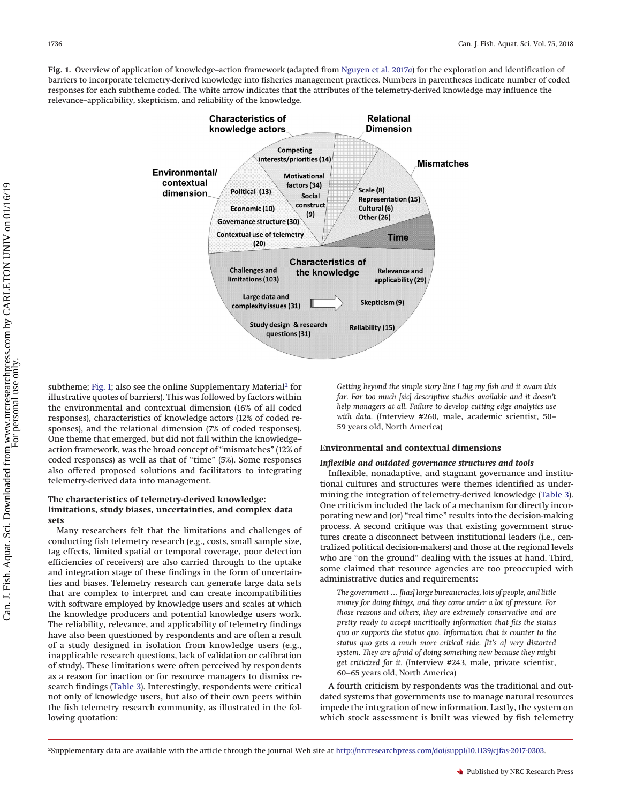<span id="page-3-0"></span>**Fig. 1.** Overview of application of knowledge–action framework (adapted from [Nguyen et al. 2017](#page-10-1)*a*) for the exploration and identification of barriers to incorporate telemetry-derived knowledge into fisheries management practices. Numbers in parentheses indicate number of coded responses for each subtheme coded. The white arrow indicates that the attributes of the telemetry-derived knowledge may influence the relevance–applicability, skepticism, and reliability of the knowledge.



subtheme; [Fig. 1;](#page-3-0) also see the online Supplementary Material<sup>2</sup> for illustrative quotes of barriers). This was followed by factors within the environmental and contextual dimension (16% of all coded responses), characteristics of knowledge actors (12% of coded responses), and the relational dimension (7% of coded responses). One theme that emerged, but did not fall within the knowledge– action framework, was the broad concept of "mismatches" (12% of coded responses) as well as that of "time" (5%). Some responses also offered proposed solutions and facilitators to integrating telemetry-derived data into management.

#### **The characteristics of telemetry-derived knowledge: limitations, study biases, uncertainties, and complex data sets**

Many researchers felt that the limitations and challenges of conducting fish telemetry research (e.g., costs, small sample size, tag effects, limited spatial or temporal coverage, poor detection efficiencies of receivers) are also carried through to the uptake and integration stage of these findings in the form of uncertainties and biases. Telemetry research can generate large data sets that are complex to interpret and can create incompatibilities with software employed by knowledge users and scales at which the knowledge producers and potential knowledge users work. The reliability, relevance, and applicability of telemetry findings have also been questioned by respondents and are often a result of a study designed in isolation from knowledge users (e.g., inapplicable research questions, lack of validation or calibration of study). These limitations were often perceived by respondents as a reason for inaction or for resource managers to dismiss research findings [\(Table 3\)](#page-4-0). Interestingly, respondents were critical not only of knowledge users, but also of their own peers within the fish telemetry research community, as illustrated in the following quotation:

*Getting beyond the simple story line I tag my fish and it swam this far. Far too much [sic] descriptive studies available and it doesn't help managers at all. Failure to develop cutting edge analytics use with data.* (Interview #260, male, academic scientist, 50– 59 years old, North America)

#### **Environmental and contextual dimensions**

## *Inflexible and outdated governance structures and tools*

Inflexible, nonadaptive, and stagnant governance and institutional cultures and structures were themes identified as undermining the integration of telemetry-derived knowledge [\(Table 3\)](#page-4-0). One criticism included the lack of a mechanism for directly incorporating new and (or) "real time" results into the decision-making process. A second critique was that existing government structures create a disconnect between institutional leaders (i.e., centralized political decision-makers) and those at the regional levels who are "on the ground" dealing with the issues at hand. Third, some claimed that resource agencies are too preoccupied with administrative duties and requirements:

*The government … [has] large bureaucracies, lots of people, and little money for doing things, and they come under a lot of pressure. For those reasons and others, they are extremely conservative and are pretty ready to accept uncritically information that fits the status quo or supports the status quo. Information that is counter to the status quo gets a much more critical ride. [It's a] very distorted system. They are afraid of doing something new because they might get criticized for it.* (Interview #243, male, private scientist, 60–65 years old, North America)

A fourth criticism by respondents was the traditional and outdated systems that governments use to manage natural resources impede the integration of new information. Lastly, the system on which stock assessment is built was viewed by fish telemetry

<span id="page-3-1"></span><sup>2</sup>Supplementary data are available with the article through the journal Web site at [http://nrcresearchpress.com/doi/suppl/10.1139/cjfas-2017-0303.](http://nrcresearchpress.com/doi/suppl/10.1139/cjfas-2017-0303)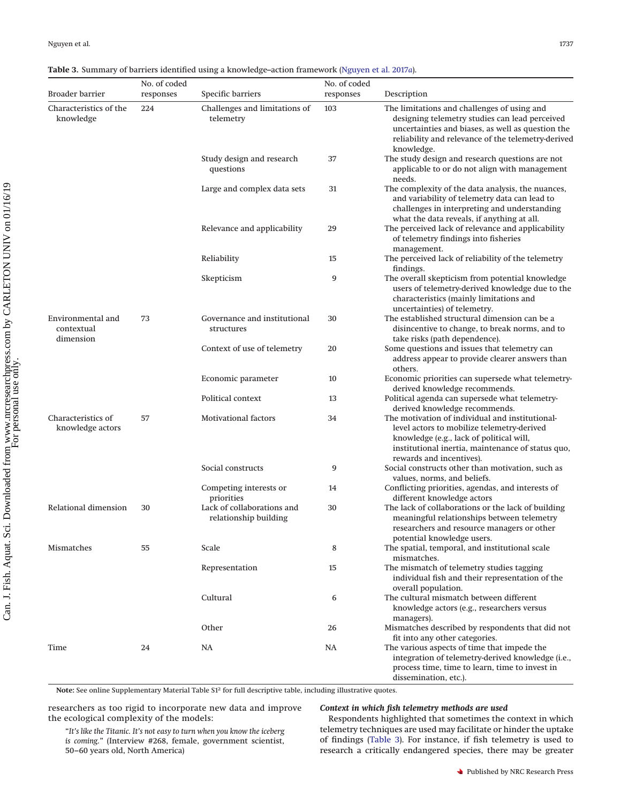## <span id="page-4-0"></span>**Table 3.** Summary of barriers identified using a knowledge–action framework [\(Nguyen et al. 2017](#page-10-1)*a*).

|                                              | No. of coded |                                                     | No. of coded |                                                                                                                                                                                                                            |
|----------------------------------------------|--------------|-----------------------------------------------------|--------------|----------------------------------------------------------------------------------------------------------------------------------------------------------------------------------------------------------------------------|
| <b>Broader barrier</b>                       | responses    | Specific barriers                                   | responses    | Description                                                                                                                                                                                                                |
| Characteristics of the<br>knowledge          | 224          | Challenges and limitations of<br>telemetry          | 103          | The limitations and challenges of using and<br>designing telemetry studies can lead perceived<br>uncertainties and biases, as well as question the<br>reliability and relevance of the telemetry-derived<br>knowledge.     |
|                                              |              | Study design and research<br>questions              | 37           | The study design and research questions are not<br>applicable to or do not align with management<br>needs.                                                                                                                 |
|                                              |              | Large and complex data sets                         | 31           | The complexity of the data analysis, the nuances,<br>and variability of telemetry data can lead to<br>challenges in interpreting and understanding<br>what the data reveals, if anything at all.                           |
|                                              |              | Relevance and applicability                         | 29           | The perceived lack of relevance and applicability<br>of telemetry findings into fisheries<br>management.                                                                                                                   |
|                                              |              | Reliability                                         | 15           | The perceived lack of reliability of the telemetry<br>findings.                                                                                                                                                            |
|                                              |              | Skepticism                                          | 9            | The overall skepticism from potential knowledge<br>users of telemetry-derived knowledge due to the<br>characteristics (mainly limitations and<br>uncertainties) of telemetry.                                              |
| Environmental and<br>contextual<br>dimension | 73           | Governance and institutional<br>structures          | 30           | The established structural dimension can be a<br>disincentive to change, to break norms, and to<br>take risks (path dependence).                                                                                           |
|                                              |              | Context of use of telemetry                         | 20           | Some questions and issues that telemetry can<br>address appear to provide clearer answers than<br>others.                                                                                                                  |
|                                              |              | Economic parameter                                  | 10           | Economic priorities can supersede what telemetry-<br>derived knowledge recommends.                                                                                                                                         |
|                                              |              | Political context                                   | 13           | Political agenda can supersede what telemetry-<br>derived knowledge recommends.                                                                                                                                            |
| Characteristics of<br>knowledge actors       | 57           | <b>Motivational factors</b>                         | 34           | The motivation of individual and institutional-<br>level actors to mobilize telemetry-derived<br>knowledge (e.g., lack of political will,<br>institutional inertia, maintenance of status quo,<br>rewards and incentives). |
|                                              |              | Social constructs                                   | 9            | Social constructs other than motivation, such as<br>values, norms, and beliefs.                                                                                                                                            |
|                                              |              | Competing interests or<br>priorities                | 14           | Conflicting priorities, agendas, and interests of<br>different knowledge actors                                                                                                                                            |
| Relational dimension                         | 30           | Lack of collaborations and<br>relationship building | 30           | The lack of collaborations or the lack of building<br>meaningful relationships between telemetry<br>researchers and resource managers or other<br>potential knowledge users.                                               |
| Mismatches                                   | 55           | Scale                                               | 8            | The spatial, temporal, and institutional scale<br>mismatches.                                                                                                                                                              |
|                                              |              | Representation                                      | 15           | The mismatch of telemetry studies tagging<br>individual fish and their representation of the<br>overall population.                                                                                                        |
|                                              |              | Cultural                                            | 6            | The cultural mismatch between different<br>knowledge actors (e.g., researchers versus<br>managers).                                                                                                                        |
|                                              |              | Other                                               | 26           | Mismatches described by respondents that did not<br>fit into any other categories.                                                                                                                                         |
| Time                                         | 24           | NA                                                  | NA           | The various aspects of time that impede the<br>integration of telemetry-derived knowledge (i.e.,<br>process time, time to learn, time to invest in<br>dissemination, etc.).                                                |

**Note:** See online Supplementary Material Table S12 for full descriptive table, including illustrative quotes.

researchers as too rigid to incorporate new data and improve the ecological complexity of the models:

# *Context in which fish telemetry methods are used*

Respondents highlighted that sometimes the context in which telemetry techniques are used may facilitate or hinder the uptake of findings [\(Table 3\)](#page-4-0). For instance, if fish telemetry is used to research a critically endangered species, there may be greater

"*It's like the Titanic. It's not easy to turn when you know the iceberg is coming.*" (Interview #268, female, government scientist, 50–60 years old, North America)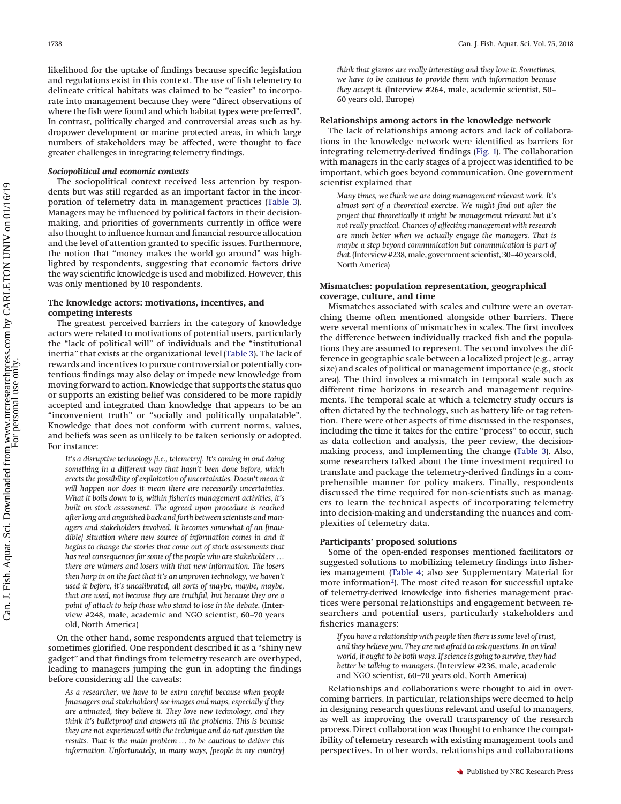likelihood for the uptake of findings because specific legislation and regulations exist in this context. The use of fish telemetry to delineate critical habitats was claimed to be "easier" to incorporate into management because they were "direct observations of where the fish were found and which habitat types were preferred". In contrast, politically charged and controversial areas such as hydropower development or marine protected areas, in which large numbers of stakeholders may be affected, were thought to face greater challenges in integrating telemetry findings.

#### *Sociopolitical and economic contexts*

The sociopolitical context received less attention by respondents but was still regarded as an important factor in the incorporation of telemetry data in management practices [\(Table 3\)](#page-4-0). Managers may be influenced by political factors in their decisionmaking, and priorities of governments currently in office were also thought to influence human and financial resource allocation and the level of attention granted to specific issues. Furthermore, the notion that "money makes the world go around" was highlighted by respondents, suggesting that economic factors drive the way scientific knowledge is used and mobilized. However, this was only mentioned by 10 respondents.

#### **The knowledge actors: motivations, incentives, and competing interests**

The greatest perceived barriers in the category of knowledge actors were related to motivations of potential users, particularly the "lack of political will" of individuals and the "institutional inertia" that exists at the organizational level [\(Table 3\)](#page-4-0). The lack of rewards and incentives to pursue controversial or potentially contentious findings may also delay or impede new knowledge from moving forward to action. Knowledge that supports the status quo or supports an existing belief was considered to be more rapidly accepted and integrated than knowledge that appears to be an "inconvenient truth" or "socially and politically unpalatable". Knowledge that does not conform with current norms, values, and beliefs was seen as unlikely to be taken seriously or adopted. For instance:

*It's a disruptive technology [i.e., telemetry]. It's coming in and doing something in a different way that hasn't been done before, which erects the possibility of exploitation of uncertainties. Doesn't mean it will happen nor does it mean there are necessarily uncertainties. What it boils down to is, within fisheries management activities, it's built on stock assessment. The agreed upon procedure is reached after long and anguished back and forth between scientists and managers and stakeholders involved. It becomes somewhat of an [inaudible] situation where new source of information comes in and it begins to change the stories that come out of stock assessments that has real consequences for some of the people who are stakeholders … there are winners and losers with that new information. The losers then harp in on the fact that it's an unproven technology, we haven't used it before, it's uncalibrated, all sorts of maybe, maybe, maybe, that are used, not because they are truthful, but because they are a point of attack to help those who stand to lose in the debate.* (Interview #248, male, academic and NGO scientist, 60–70 years old, North America)

On the other hand, some respondents argued that telemetry is sometimes glorified. One respondent described it as a "shiny new gadget" and that findings from telemetry research are overhyped, leading to managers jumping the gun in adopting the findings before considering all the caveats:

*As a researcher, we have to be extra careful because when people [managers and stakeholders] see images and maps, especially if they are animated, they believe it. They love new technology, and they think it's bulletproof and answers all the problems. This is because they are not experienced with the technique and do not question the results. That is the main problem … to be cautious to deliver this information. Unfortunately, in many ways, [people in my country]*

*think that gizmos are really interesting and they love it. Sometimes, we have to be cautious to provide them with information because they accept it.* (Interview #264, male, academic scientist, 50– 60 years old, Europe)

## **Relationships among actors in the knowledge network**

The lack of relationships among actors and lack of collaborations in the knowledge network were identified as barriers for integrating telemetry-derived findings [\(Fig. 1\)](#page-3-0). The collaboration with managers in the early stages of a project was identified to be important, which goes beyond communication. One government scientist explained that

*Many times, we think we are doing management relevant work. It's almost sort of a theoretical exercise. We might find out after the project that theoretically it might be management relevant but it's not really practical. Chances of affecting management with research are much better when we actually engage the managers. That is maybe a step beyond communication but communication is part of* that. (Interview #238, male, government scientist, 30-40 years old, North America)

## **Mismatches: population representation, geographical coverage, culture, and time**

Mismatches associated with scales and culture were an overarching theme often mentioned alongside other barriers. There were several mentions of mismatches in scales. The first involves the difference between individually tracked fish and the populations they are assumed to represent. The second involves the difference in geographic scale between a localized project (e.g., array size) and scales of political or management importance (e.g., stock area). The third involves a mismatch in temporal scale such as different time horizons in research and management requirements. The temporal scale at which a telemetry study occurs is often dictated by the technology, such as battery life or tag retention. There were other aspects of time discussed in the responses, including the time it takes for the entire "process" to occur, such as data collection and analysis, the peer review, the decisionmaking process, and implementing the change [\(Table 3\)](#page-4-0). Also, some researchers talked about the time investment required to translate and package the telemetry-derived findings in a comprehensible manner for policy makers. Finally, respondents discussed the time required for non-scientists such as managers to learn the technical aspects of incorporating telemetry into decision-making and understanding the nuances and complexities of telemetry data.

#### **Participants' proposed solutions**

Some of the open-ended responses mentioned facilitators or suggested solutions to mobilizing telemetry findings into fisheries management [\(Table 4;](#page-6-0) also see Supplementary Material for more information<sup>2</sup>). The most cited reason for successful uptake of telemetry-derived knowledge into fisheries management practices were personal relationships and engagement between researchers and potential users, particularly stakeholders and fisheries managers:

*If you have a relationship with people then there is some level of trust, and they believe you. They are not afraid to ask questions. In an ideal world, it ought to be both ways. If science is going to survive, they had better be talking to managers*. (Interview #236, male, academic and NGO scientist, 60–70 years old, North America)

Relationships and collaborations were thought to aid in overcoming barriers. In particular, relationships were deemed to help in designing research questions relevant and useful to managers, as well as improving the overall transparency of the research process. Direct collaboration was thought to enhance the compatibility of telemetry research with existing management tools and perspectives. In other words, relationships and collaborations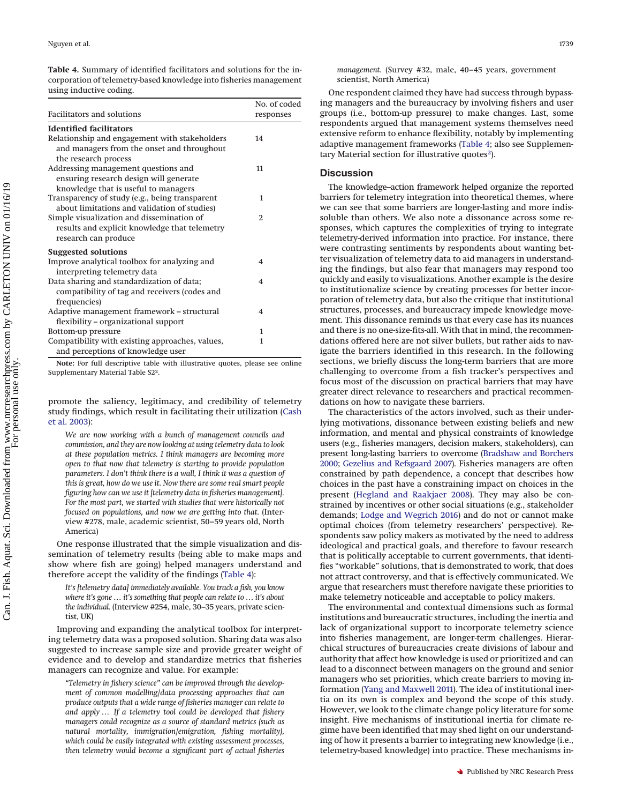<span id="page-6-0"></span>**Table 4.** Summary of identified facilitators and solutions for the incorporation of telemetry-based knowledge into fisheries management using inductive coding.

|                                                                                                                       | No. of coded |  |
|-----------------------------------------------------------------------------------------------------------------------|--------------|--|
| <b>Facilitators and solutions</b>                                                                                     | responses    |  |
| <b>Identified facilitators</b>                                                                                        |              |  |
| Relationship and engagement with stakeholders<br>and managers from the onset and throughout<br>the research process   | 14           |  |
| Addressing management questions and<br>ensuring research design will generate<br>knowledge that is useful to managers | 11           |  |
| Transparency of study (e.g., being transparent<br>about limitations and validation of studies)                        | 1            |  |
| Simple visualization and dissemination of<br>results and explicit knowledge that telemetry<br>research can produce    | 2            |  |
| <b>Suggested solutions</b><br>Improve analytical toolbox for analyzing and<br>interpreting telemetry data             | 4            |  |
| Data sharing and standardization of data;<br>compatibility of tag and receivers (codes and<br>frequencies)            | 4            |  |
| Adaptive management framework - structural<br>flexibility - organizational support                                    | 4            |  |
| Bottom-up pressure                                                                                                    | $\mathbf{1}$ |  |
| Compatibility with existing approaches, values,<br>and perceptions of knowledge user                                  | 1            |  |

**Note:** For full descriptive table with illustrative quotes, please see online Supplementary Material Table S22.

promote the saliency, legitimacy, and credibility of telemetry study findings, which result in facilitating their utilization [\(Cash](#page-9-10) [et al. 2003\)](#page-9-10):

*We are now working with a bunch of management councils and commission, and they are now looking at using telemetry data to look at these population metrics. I think managers are becoming more open to that now that telemetry is starting to provide population parameters. I don't think there is a wall, I think it was a question of this is great, how do we use it. Now there are some real smart people figuring how can we use it [telemetry data in fisheries management]. For the most part, we started with studies that were historically not focused on populations, and now we are getting into that.* (Interview #278, male, academic scientist, 50–59 years old, North America)

One response illustrated that the simple visualization and dissemination of telemetry results (being able to make maps and show where fish are going) helped managers understand and therefore accept the validity of the findings [\(Table 4\)](#page-6-0):

*It's [telemetry data] immediately available. You track a fish, you know where it's gone … it's something that people can relate to … it's about the individual.* (Interview #254, male, 30–35 years, private scientist, UK)

Improving and expanding the analytical toolbox for interpreting telemetry data was a proposed solution. Sharing data was also suggested to increase sample size and provide greater weight of evidence and to develop and standardize metrics that fisheries managers can recognize and value. For example:

*"Telemetry in fishery science" can be improved through the development of common modelling/data processing approaches that can produce outputs that a wide range of fisheries manager can relate to and apply … If a telemetry tool could be developed that fishery managers could recognize as a source of standard metrics (such as natural mortality, immigration/emigration, fishing mortality), which could be easily integrated with existing assessment processes, then telemetry would become a significant part of actual fisheries*

*management.* (Survey #32, male, 40–45 years, government scientist, North America)

One respondent claimed they have had success through bypassing managers and the bureaucracy by involving fishers and user groups (i.e., bottom-up pressure) to make changes. Last, some respondents argued that management systems themselves need extensive reform to enhance flexibility, notably by implementing adaptive management frameworks [\(Table 4;](#page-6-0) also see Supplementary Material section for illustrative quotes<sup>2</sup>).

#### **Discussion**

The knowledge–action framework helped organize the reported barriers for telemetry integration into theoretical themes, where we can see that some barriers are longer-lasting and more indissoluble than others. We also note a dissonance across some responses, which captures the complexities of trying to integrate telemetry-derived information into practice. For instance, there were contrasting sentiments by respondents about wanting better visualization of telemetry data to aid managers in understanding the findings, but also fear that managers may respond too quickly and easily to visualizations. Another example is the desire to institutionalize science by creating processes for better incorporation of telemetry data, but also the critique that institutional structures, processes, and bureaucracy impede knowledge movement. This dissonance reminds us that every case has its nuances and there is no one-size-fits-all. With that in mind, the recommendations offered here are not silver bullets, but rather aids to navigate the barriers identified in this research. In the following sections, we briefly discuss the long-term barriers that are more challenging to overcome from a fish tracker's perspectives and focus most of the discussion on practical barriers that may have greater direct relevance to researchers and practical recommendations on how to navigate these barriers.

The characteristics of the actors involved, such as their underlying motivations, dissonance between existing beliefs and new information, and mental and physical constraints of knowledge users (e.g., fisheries managers, decision makers, stakeholders), can present long-lasting barriers to overcome [\(Bradshaw and Borchers](#page-9-11) [2000;](#page-9-11) [Gezelius and Refsgaard 2007\)](#page-9-12). Fisheries managers are often constrained by path dependence, a concept that describes how choices in the past have a constraining impact on choices in the present [\(Hegland and Raakjaer 2008\)](#page-9-13). They may also be constrained by incentives or other social situations (e.g., stakeholder demands; [Lodge and Wegrich 2016\)](#page-9-14) and do not or cannot make optimal choices (from telemetry researchers' perspective). Respondents saw policy makers as motivated by the need to address ideological and practical goals, and therefore to favour research that is politically acceptable to current governments, that identifies "workable" solutions, that is demonstrated to work, that does not attract controversy, and that is effectively communicated. We argue that researchers must therefore navigate these priorities to make telemetry noticeable and acceptable to policy makers.

The environmental and contextual dimensions such as formal institutions and bureaucratic structures, including the inertia and lack of organizational support to incorporate telemetry science into fisheries management, are longer-term challenges. Hierarchical structures of bureaucracies create divisions of labour and authority that affect how knowledge is used or prioritized and can lead to a disconnect between managers on the ground and senior managers who set priorities, which create barriers to moving information [\(Yang and Maxwell 2011\)](#page-10-3). The idea of institutional inertia on its own is complex and beyond the scope of this study. However, we look to the climate change policy literature for some insight. Five mechanisms of institutional inertia for climate regime have been identified that may shed light on our understanding of how it presents a barrier to integrating new knowledge (i.e., telemetry-based knowledge) into practice. These mechanisms in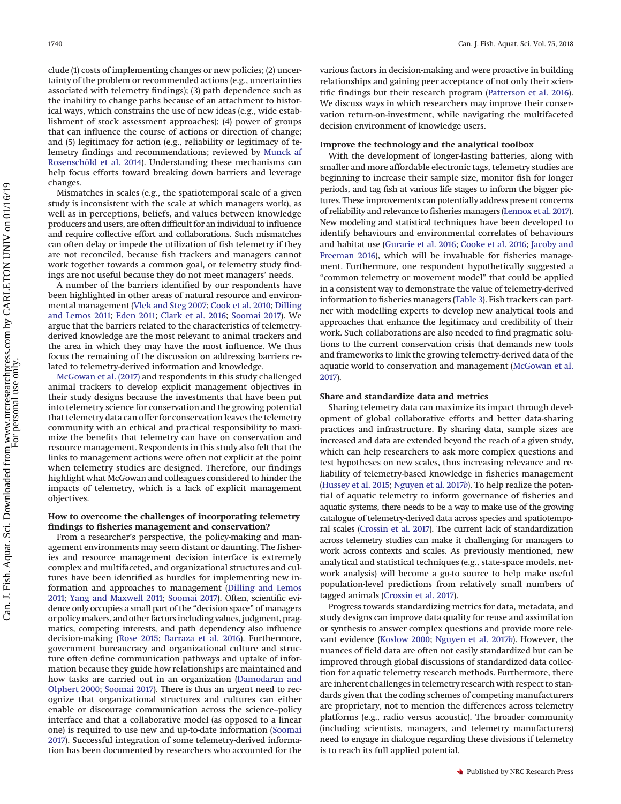clude (1) costs of implementing changes or new policies; (2) uncertainty of the problem or recommended actions (e.g., uncertainties associated with telemetry findings); (3) path dependence such as the inability to change paths because of an attachment to historical ways, which constrains the use of new ideas (e.g., wide establishment of stock assessment approaches); (4) power of groups that can influence the course of actions or direction of change; and (5) legitimacy for action (e.g., reliability or legitimacy of telemetry findings and recommendations; reviewed by [Munck af](#page-10-4) [Rosenschöld et al. 2014\)](#page-10-4). Understanding these mechanisms can help focus efforts toward breaking down barriers and leverage changes.

Mismatches in scales (e.g., the spatiotemporal scale of a given study is inconsistent with the scale at which managers work), as well as in perceptions, beliefs, and values between knowledge producers and users, are often difficult for an individual to influence and require collective effort and collaborations. Such mismatches can often delay or impede the utilization of fish telemetry if they are not reconciled, because fish trackers and managers cannot work together towards a common goal, or telemetry study findings are not useful because they do not meet managers' needs.

A number of the barriers identified by our respondents have been highlighted in other areas of natural resource and environmental management [\(Vlek and Steg 2007;](#page-10-5) [Cook et al. 2010;](#page-9-15) [Dilling](#page-9-16) [and Lemos 2011;](#page-9-16) [Eden 2011;](#page-9-17) [Clark et al. 2016;](#page-9-18) [Soomai 2017\)](#page-10-6). We argue that the barriers related to the characteristics of telemetryderived knowledge are the most relevant to animal trackers and the area in which they may have the most influence. We thus focus the remaining of the discussion on addressing barriers related to telemetry-derived information and knowledge.

[McGowan et al. \(2017\)](#page-10-0) and respondents in this study challenged animal trackers to develop explicit management objectives in their study designs because the investments that have been put into telemetry science for conservation and the growing potential that telemetry data can offer for conservation leaves the telemetry community with an ethical and practical responsibility to maximize the benefits that telemetry can have on conservation and resource management. Respondents in this study also felt that the links to management actions were often not explicit at the point when telemetry studies are designed. Therefore, our findings highlight what McGowan and colleagues considered to hinder the impacts of telemetry, which is a lack of explicit management objectives.

## **How to overcome the challenges of incorporating telemetry findings to fisheries management and conservation?**

From a researcher's perspective, the policy-making and management environments may seem distant or daunting. The fisheries and resource management decision interface is extremely complex and multifaceted, and organizational structures and cultures have been identified as hurdles for implementing new information and approaches to management [\(Dilling and Lemos](#page-9-16) [2011;](#page-9-16) [Yang and Maxwell 2011;](#page-10-3) [Soomai 2017\)](#page-10-6). Often, scientific evidence only occupies a small part of the "decision space" of managers or policymakers, and other factors including values, judgment, pragmatics, competing interests, and path dependency also influence decision-making [\(Rose 2015;](#page-10-7) [Barraza et al. 2016\)](#page-9-19). Furthermore, government bureaucracy and organizational culture and structure often define communication pathways and uptake of information because they guide how relationships are maintained and how tasks are carried out in an organization [\(Damodaran and](#page-9-20) [Olphert 2000;](#page-9-20) [Soomai 2017\)](#page-10-6). There is thus an urgent need to recognize that organizational structures and cultures can either enable or discourage communication across the science–policy interface and that a collaborative model (as opposed to a linear one) is required to use new and up-to-date information [\(Soomai](#page-10-6) [2017\)](#page-10-6). Successful integration of some telemetry-derived information has been documented by researchers who accounted for the various factors in decision-making and were proactive in building relationships and gaining peer acceptance of not only their scientific findings but their research program [\(Patterson et al. 2016\)](#page-10-8). We discuss ways in which researchers may improve their conservation return-on-investment, while navigating the multifaceted decision environment of knowledge users.

#### **Improve the technology and the analytical toolbox**

With the development of longer-lasting batteries, along with smaller and more affordable electronic tags, telemetry studies are beginning to increase their sample size, monitor fish for longer periods, and tag fish at various life stages to inform the bigger pictures. These improvements can potentially address present concerns of reliability and relevance to fisheries managers [\(Lennox et al. 2017\)](#page-9-21). New modeling and statistical techniques have been developed to identify behaviours and environmental correlates of behaviours and habitat use [\(Gurarie et al. 2016;](#page-9-22) [Cooke et al. 2016;](#page-9-5) [Jacoby and](#page-9-23) [Freeman 2016\)](#page-9-23), which will be invaluable for fisheries management. Furthermore, one respondent hypothetically suggested a "common telemetry or movement model" that could be applied in a consistent way to demonstrate the value of telemetry-derived information to fisheries managers [\(Table 3\)](#page-4-0). Fish trackers can partner with modelling experts to develop new analytical tools and approaches that enhance the legitimacy and credibility of their work. Such collaborations are also needed to find pragmatic solutions to the current conservation crisis that demands new tools and frameworks to link the growing telemetry-derived data of the aquatic world to conservation and management [\(McGowan et al.](#page-10-0) [2017\)](#page-10-0).

## **Share and standardize data and metrics**

Sharing telemetry data can maximize its impact through development of global collaborative efforts and better data-sharing practices and infrastructure. By sharing data, sample sizes are increased and data are extended beyond the reach of a given study, which can help researchers to ask more complex questions and test hypotheses on new scales, thus increasing relevance and reliability of telemetry-based knowledge in fisheries management [\(Hussey et al. 2015;](#page-9-0) [Nguyen et al. 2017](#page-10-9)*b*). To help realize the potential of aquatic telemetry to inform governance of fisheries and aquatic systems, there needs to be a way to make use of the growing catalogue of telemetry-derived data across species and spatiotemporal scales [\(Crossin et al. 2017\)](#page-9-3). The current lack of standardization across telemetry studies can make it challenging for managers to work across contexts and scales. As previously mentioned, new analytical and statistical techniques (e.g., state-space models, network analysis) will become a go-to source to help make useful population-level predictions from relatively small numbers of tagged animals [\(Crossin et al. 2017\)](#page-9-3).

Progress towards standardizing metrics for data, metadata, and study designs can improve data quality for reuse and assimilation or synthesis to answer complex questions and provide more relevant evidence [\(Koslow 2000;](#page-9-24) [Nguyen et al. 2017](#page-10-9)*b*). However, the nuances of field data are often not easily standardized but can be improved through global discussions of standardized data collection for aquatic telemetry research methods. Furthermore, there are inherent challenges in telemetry research with respect to standards given that the coding schemes of competing manufacturers are proprietary, not to mention the differences across telemetry platforms (e.g., radio versus acoustic). The broader community (including scientists, managers, and telemetry manufacturers) need to engage in dialogue regarding these divisions if telemetry is to reach its full applied potential.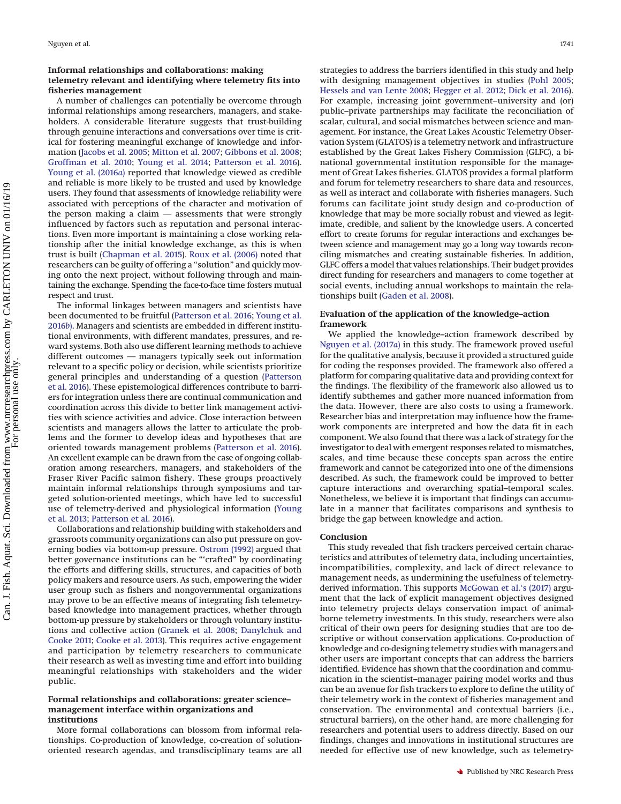## **Informal relationships and collaborations: making telemetry relevant and identifying where telemetry fits into fisheries management**

A number of challenges can potentially be overcome through informal relationships among researchers, managers, and stakeholders. A considerable literature suggests that trust-building through genuine interactions and conversations over time is critical for fostering meaningful exchange of knowledge and information [\(Jacobs et al. 2005;](#page-9-25) [Mitton et al. 2007;](#page-10-10) [Gibbons et al. 2008;](#page-9-26) [Groffman et al. 2010;](#page-9-27) [Young et al. 2014;](#page-10-11) [Patterson et al. 2016\)](#page-10-8). [Young et al. \(2016](#page-10-12)*a*) reported that knowledge viewed as credible and reliable is more likely to be trusted and used by knowledge users. They found that assessments of knowledge reliability were associated with perceptions of the character and motivation of the person making a claim — assessments that were strongly influenced by factors such as reputation and personal interactions. Even more important is maintaining a close working relationship after the initial knowledge exchange, as this is when trust is built [\(Chapman et al. 2015\)](#page-9-28). [Roux et al. \(2006\)](#page-10-13) noted that researchers can be guilty of offering a "solution" and quickly moving onto the next project, without following through and maintaining the exchange. Spending the face-to-face time fosters mutual respect and trust.

The informal linkages between managers and scientists have been documented to be fruitful [\(Patterson et al. 2016;](#page-10-8) [Young et al.](#page-10-14) [2016](#page-10-14)*b*). Managers and scientists are embedded in different institutional environments, with different mandates, pressures, and reward systems. Both also use different learning methods to achieve different outcomes — managers typically seek out information relevant to a specific policy or decision, while scientists prioritize general principles and understanding of a question [\(Patterson](#page-10-8) [et al. 2016\)](#page-10-8). These epistemological differences contribute to barriers for integration unless there are continual communication and coordination across this divide to better link management activities with science activities and advice. Close interaction between scientists and managers allows the latter to articulate the problems and the former to develop ideas and hypotheses that are oriented towards management problems [\(Patterson et al. 2016\)](#page-10-8). An excellent example can be drawn from the case of ongoing collaboration among researchers, managers, and stakeholders of the Fraser River Pacific salmon fishery. These groups proactively maintain informal relationships through symposiums and targeted solution-oriented meetings, which have led to successful use of telemetry-derived and physiological information [\(Young](#page-10-15) [et al. 2013;](#page-10-15) [Patterson et al. 2016\)](#page-10-8).

Collaborations and relationship building with stakeholders and grassroots community organizations can also put pressure on governing bodies via bottom-up pressure. [Ostrom \(1992\)](#page-10-16) argued that better governance institutions can be "'crafted" by coordinating the efforts and differing skills, structures, and capacities of both policy makers and resource users. As such, empowering the wider user group such as fishers and nongovernmental organizations may prove to be an effective means of integrating fish telemetrybased knowledge into management practices, whether through bottom-up pressure by stakeholders or through voluntary institutions and collective action [\(Granek et al. 2008;](#page-9-29) [Danylchuk and](#page-9-30) [Cooke 2011;](#page-9-30) [Cooke et al. 2013\)](#page-9-31). This requires active engagement and participation by telemetry researchers to communicate their research as well as investing time and effort into building meaningful relationships with stakeholders and the wider public.

#### **Formal relationships and collaborations: greater science– management interface within organizations and institutions**

More formal collaborations can blossom from informal relationships. Co-production of knowledge, co-creation of solutionoriented research agendas, and transdisciplinary teams are all strategies to address the barriers identified in this study and help with designing management objectives in studies [\(Pohl 2005;](#page-10-17) [Hessels and van Lente 2008;](#page-9-32) [Hegger et al. 2012;](#page-9-33) [Dick et al. 2016\)](#page-9-34). For example, increasing joint government–university and (or) public–private partnerships may facilitate the reconciliation of scalar, cultural, and social mismatches between science and management. For instance, the Great Lakes Acoustic Telemetry Observation System (GLATOS) is a telemetry network and infrastructure established by the Great Lakes Fishery Commission (GLFC), a binational governmental institution responsible for the management of Great Lakes fisheries. GLATOS provides a formal platform and forum for telemetry researchers to share data and resources, as well as interact and collaborate with fisheries managers. Such forums can facilitate joint study design and co-production of knowledge that may be more socially robust and viewed as legitimate, credible, and salient by the knowledge users. A concerted effort to create forums for regular interactions and exchanges between science and management may go a long way towards reconciling mismatches and creating sustainable fisheries. In addition, GLFC offers a model that values relationships. Their budget provides direct funding for researchers and managers to come together at social events, including annual workshops to maintain the relationships built [\(Gaden et al. 2008\)](#page-9-35).

## **Evaluation of the application of the knowledge–action framework**

We applied the knowledge–action framework described by [Nguyen et al. \(2017](#page-10-1)*a*) in this study. The framework proved useful for the qualitative analysis, because it provided a structured guide for coding the responses provided. The framework also offered a platform for comparing qualitative data and providing context for the findings. The flexibility of the framework also allowed us to identify subthemes and gather more nuanced information from the data. However, there are also costs to using a framework. Researcher bias and interpretation may influence how the framework components are interpreted and how the data fit in each component. We also found that there was a lack of strategy for the investigator to deal with emergent responses related to mismatches, scales, and time because these concepts span across the entire framework and cannot be categorized into one of the dimensions described. As such, the framework could be improved to better capture interactions and overarching spatial–temporal scales. Nonetheless, we believe it is important that findings can accumulate in a manner that facilitates comparisons and synthesis to bridge the gap between knowledge and action.

#### **Conclusion**

This study revealed that fish trackers perceived certain characteristics and attributes of telemetry data, including uncertainties, incompatibilities, complexity, and lack of direct relevance to management needs, as undermining the usefulness of telemetryderived information. This supports [McGowan et al.'s \(2017\)](#page-10-0) argument that the lack of explicit management objectives designed into telemetry projects delays conservation impact of animalborne telemetry investments. In this study, researchers were also critical of their own peers for designing studies that are too descriptive or without conservation applications. Co-production of knowledge and co-designing telemetry studies with managers and other users are important concepts that can address the barriers identified. Evidence has shown that the coordination and communication in the scientist–manager pairing model works and thus can be an avenue for fish trackers to explore to define the utility of their telemetry work in the context of fisheries management and conservation. The environmental and contextual barriers (i.e., structural barriers), on the other hand, are more challenging for researchers and potential users to address directly. Based on our findings, changes and innovations in institutional structures are needed for effective use of new knowledge, such as telemetry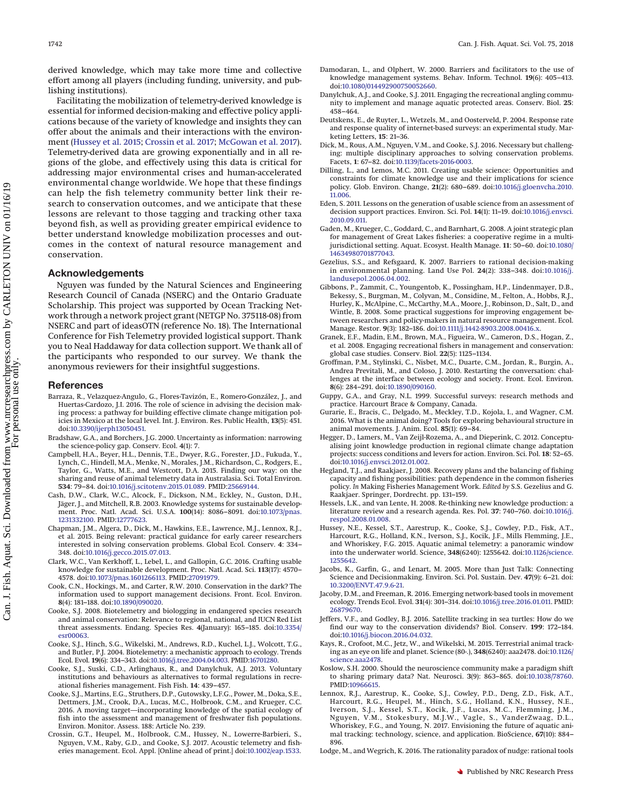derived knowledge, which may take more time and collective effort among all players (including funding, university, and publishing institutions).

Facilitating the mobilization of telemetry-derived knowledge is essential for informed decision-making and effective policy applications because of the variety of knowledge and insights they can offer about the animals and their interactions with the environment [\(Hussey et al. 2015;](#page-9-0) [Crossin et al. 2017;](#page-9-3) [McGowan et al. 2017\)](#page-10-0). Telemetry-derived data are growing exponentially and in all regions of the globe, and effectively using this data is critical for addressing major environmental crises and human-accelerated environmental change worldwide. We hope that these findings can help the fish telemetry community better link their research to conservation outcomes, and we anticipate that these lessons are relevant to those tagging and tracking other taxa beyond fish, as well as providing greater empirical evidence to better understand knowledge mobilization processes and outcomes in the context of natural resource management and conservation.

# **Acknowledgements**

Nguyen was funded by the Natural Sciences and Engineering Research Council of Canada (NSERC) and the Ontario Graduate Scholarship. This project was supported by Ocean Tracking Network through a network project grant (NETGP No. 375118-08) from NSERC and part of ideasOTN (reference No. 18). The International Conference for Fish Telemetry provided logistical support. Thank you to Neal Haddaway for data collection support. We thank all of the participants who responded to our survey. We thank the anonymous reviewers for their insightful suggestions.

#### **References**

- <span id="page-9-19"></span>Barraza, R., Velazquez-Angulo, G., Flores-Tavizón, E., Romero-González, J., and Huertas-Cardozo, J.I. 2016. The role of science in advising the decision making process: a pathway for building effective climate change mitigation policies in Mexico at the local level. Int. J. Environ. Res. Public Health, **13**(5): 451. doi[:10.3390/ijerph13050451.](http://dx.doi.org/10.3390/ijerph13050451)
- <span id="page-9-11"></span>Bradshaw, G.A., and Borchers, J.G. 2000. Uncertainty as information: narrowing the science-policy gap. Conserv. Ecol. **4**(1): 7.
- <span id="page-9-6"></span>Campbell, H.A., Beyer, H.L., Dennis, T.E., Dwyer, R.G., Forester, J.D., Fukuda, Y., Lynch, C., Hindell, M.A., Menke, N., Morales, J.M., Richardson, C., Rodgers, E., Taylor, G., Watts, M.E., and Westcott, D.A. 2015. Finding our way: on the sharing and reuse of animal telemetry data in Australasia. Sci. Total Environ. **534**: 79–84. doi[:10.1016/j.scitotenv.2015.01.089.](http://dx.doi.org/10.1016/j.scitotenv.2015.01.089) PMID[:25669144.](http://www.ncbi.nlm.nih.gov/pubmed/25669144)
- <span id="page-9-10"></span>Cash, D.W., Clark, W.C., Alcock, F., Dickson, N.M., Eckley, N., Guston, D.H., Jäger, J., and Mitchell, R.B. 2003. Knowledge systems for sustainable develop-ment. Proc. Natl. Acad. Sci. U.S.A. **100**(14): 8086–8091. doi[:10.1073/pnas.](http://dx.doi.org/10.1073/pnas.1231332100) [1231332100.](http://dx.doi.org/10.1073/pnas.1231332100) PMID[:12777623.](http://www.ncbi.nlm.nih.gov/pubmed/12777623)
- <span id="page-9-28"></span>Chapman, J.M., Algera, D., Dick, M., Hawkins, E.E., Lawrence, M.J., Lennox, R.J., et al. 2015. Being relevant: practical guidance for early career researchers interested in solving conservation problems. Global Ecol. Conserv. **4**: 334– 348. doi[:10.1016/j.gecco.2015.07.013.](http://dx.doi.org/10.1016/j.gecco.2015.07.013)
- <span id="page-9-18"></span>Clark, W.C., Van Kerkhoff, L., Lebel, L., and Gallopin, G.C. 2016. Crafting usable knowledge for sustainable development. Proc. Natl. Acad. Sci. **113**(17): 4570– 4578. doi[:10.1073/pnas.1601266113.](http://dx.doi.org/10.1073/pnas.1601266113) PMID[:27091979.](http://www.ncbi.nlm.nih.gov/pubmed/27091979)
- <span id="page-9-15"></span>Cook, C.N., Hockings, M., and Carter, R.W. 2010. Conservation in the dark? The information used to support management decisions. Front. Ecol. Environ. **8**(4): 181–188. doi[:10.1890/090020.](http://dx.doi.org/10.1890/090020)
- <span id="page-9-4"></span>Cooke, S.J. 2008. Biotelemetry and biologging in endangered species research and animal conservation: Relevance to regional, national, and IUCN Red List threat assessments. Endang. Species Res. **4**(January): 165–185. doi[:10.3354/](http://dx.doi.org/10.3354/esr00063) [esr00063.](http://dx.doi.org/10.3354/esr00063)
- <span id="page-9-1"></span>Cooke, S.J., Hinch, S.G., Wikelski, M., Andrews, R.D., Kuchel, L.J., Wolcott, T.G., and Butler, P.J. 2004. Biotelemetry: a mechanistic approach to ecology. Trends Ecol. Evol. **19**(6): 334–343. doi[:10.1016/j.tree.2004.04.003.](http://dx.doi.org/10.1016/j.tree.2004.04.003) PMID[:16701280.](http://www.ncbi.nlm.nih.gov/pubmed/16701280)
- <span id="page-9-31"></span>Cooke, S.J., Suski, C.D., Arlinghaus, R., and Danylchuk, A.J. 2013. Voluntary institutions and behaviours as alternatives to formal regulations in recreational fisheries management. Fish Fish. **14**: 439–457.
- <span id="page-9-5"></span>Cooke, S.J., Martins, E.G., Struthers, D.P., Gutowsky, L.F.G., Power, M., Doka, S.E., Dettmers, J.M., Crook, D.A., Lucas, M.C., Holbrook, C.M., and Krueger, C.C. 2016. A moving target—incorporating knowledge of the spatial ecology of fish into the assessment and management of freshwater fish populations. Environ. Monitor. Assess. 188: Article No. 239.
- <span id="page-9-3"></span>Crossin, G.T., Heupel, M., Holbrook, C.M., Hussey, N., Lowerre-Barbieri, S., Nguyen, V.M., Raby, G.D., and Cooke, S.J. 2017. Acoustic telemetry and fisheries management. Ecol. Appl. [Online ahead of print.] doi[:10.1002/eap.1533.](http://dx.doi.org/10.1002/eap.1533)
- <span id="page-9-20"></span>Damodaran, L., and Olphert, W. 2000. Barriers and facilitators to the use of knowledge management systems. Behav. Inform. Technol. **19**(6): 405–413. doi[:10.1080/014492900750052660.](http://dx.doi.org/10.1080/014492900750052660)
- <span id="page-9-30"></span>Danylchuk, A.J., and Cooke, S.J. 2011. Engaging the recreational angling community to implement and manage aquatic protected areas. Conserv. Biol. **25**: 458–464.
- <span id="page-9-9"></span>Deutskens, E., de Ruyter, L., Wetzels, M., and Oosterveld, P. 2004. Response rate and response quality of internet-based surveys: an experimental study. Marketing Letters, **15**: 21–36.
- <span id="page-9-34"></span>Dick, M., Rous, A.M., Nguyen, V.M., and Cooke, S.J. 2016. Necessary but challenging: multiple disciplinary approaches to solving conservation problems. Facets, **1**: 67–82. doi[:10.1139/facets-2016-0003.](http://dx.doi.org/10.1139/facets-2016-0003)
- <span id="page-9-16"></span>Dilling, L., and Lemos, M.C. 2011. Creating usable science: Opportunities and constraints for climate knowledge use and their implications for science policy. Glob. Environ. Change, **21**(2): 680–689. doi[:10.1016/j.gloenvcha.2010.](http://dx.doi.org/10.1016/j.gloenvcha.2010.11.006) [11.006.](http://dx.doi.org/10.1016/j.gloenvcha.2010.11.006)
- <span id="page-9-17"></span>Eden, S. 2011. Lessons on the generation of usable science from an assessment of decision support practices. Environ. Sci. Pol. **14**(1): 11–19. doi[:10.1016/j.envsci.](http://dx.doi.org/10.1016/j.envsci.2010.09.011) [2010.09.011.](http://dx.doi.org/10.1016/j.envsci.2010.09.011)
- <span id="page-9-35"></span>Gaden, M., Krueger, C., Goddard, C., and Barnhart, G. 2008. A joint strategic plan for management of Great Lakes fisheries: a cooperative regime in a multijurisdictional setting. Aquat. Ecosyst. Health Manage. **11**: 50–60. doi[:10.1080/](http://dx.doi.org/10.1080/14634980701877043) [14634980701877043.](http://dx.doi.org/10.1080/14634980701877043)
- <span id="page-9-12"></span>Gezelius, S.S., and Refsgaard, K. 2007. Barriers to rational decision-making in environmental planning. Land Use Pol. **24**(2): 338–348. doi[:10.1016/j.](http://dx.doi.org/10.1016/j.landusepol.2006.04.002) [landusepol.2006.04.002.](http://dx.doi.org/10.1016/j.landusepol.2006.04.002)
- <span id="page-9-26"></span>Gibbons, P., Zammit, C., Youngentob, K., Possingham, H.P., Lindenmayer, D.B., Bekessy, S., Burgman, M., Colyvan, M., Considine, M., Felton, A., Hobbs, R.J., Hurley, K., McAlpine, C., McCarthy, M.A., Moore, J., Robinson, D., Salt, D., and Wintle, B. 2008. Some practical suggestions for improving engagement between researchers and policy-makers in natural resource management. Ecol. Manage. Restor. **9**(3): 182–186. doi[:10.1111/j.1442-8903.2008.00416.x.](http://dx.doi.org/10.1111/j.1442-8903.2008.00416.x)
- <span id="page-9-29"></span>Granek, E.F., Madin, E.M., Brown, M.A., Figueira, W., Cameron, D.S., Hogan, Z., et al. 2008. Engaging recreational fishers in management and conservation: global case studies. Conserv. Biol. **22**(5): 1125–1134.
- <span id="page-9-27"></span>Groffman, P.M., Stylinski, C., Nisbet, M.C., Duarte, C.M., Jordan, R., Burgin, A., Andrea Previtali, M., and Coloso, J. 2010. Restarting the conversation: challenges at the interface between ecology and society. Front. Ecol. Environ. **8**(6): 284–291. doi[:10.1890/090160.](http://dx.doi.org/10.1890/090160)
- <span id="page-9-8"></span>Guppy, G.A., and Gray, N.L. 1999. Successful surveys: research methods and practice. Harcourt Brace & Company, Canada.
- <span id="page-9-22"></span>Gurarie, E., Bracis, C., Delgado, M., Meckley, T.D., Kojola, I., and Wagner, C.M. 2016. What is the animal doing? Tools for exploring behavioural structure in animal movements. J. Anim. Ecol. **85**(1): 69–84.
- <span id="page-9-33"></span>Hegger, D., Lamers, M., Van Zeijl-Rozema, A., and Dieperink, C. 2012. Conceptualising joint knowledge production in regional climate change adaptation projects: success conditions and levers for action. Environ. Sci. Pol. **18**: 52–65. doi[:10.1016/j.envsci.2012.01.002.](http://dx.doi.org/10.1016/j.envsci.2012.01.002)
- <span id="page-9-13"></span>Hegland, T.J., and Raakjaer, J. 2008. Recovery plans and the balancing of fishing capacity and fishing possibilities: path dependence in the common fisheries policy. *In* Making Fisheries Management Work. *Edited by* S.S. Gezelius and G. Raakjaer. Springer, Dordrecht. pp. 131–159.
- <span id="page-9-32"></span>Hessels, L.K., and van Lente, H. 2008. Re-thinking new knowledge production: a literature review and a research agenda. Res. Pol. **37**: 740–760. doi[:10.1016/j.](http://dx.doi.org/10.1016/j.respol.2008.01.008) [respol.2008.01.008.](http://dx.doi.org/10.1016/j.respol.2008.01.008)
- <span id="page-9-0"></span>Hussey, N.E., Kessel, S.T., Aarestrup, K., Cooke, S.J., Cowley, P.D., Fisk, A.T., Harcourt, R.G., Holland, K.N., Iverson, S.J., Kocik, J.F., Mills Flemming, J.E., and Whoriskey, F.G. 2015. Aquatic animal telemetry: a panoramic window into the underwater world. Science, **348**(6240): 1255642. doi[:10.1126/science.](http://dx.doi.org/10.1126/science.1255642) [1255642.](http://dx.doi.org/10.1126/science.1255642)
- <span id="page-9-25"></span>Jacobs, K., Garfin, G., and Lenart, M. 2005. More than Just Talk: Connecting Science and Decisionmaking. Environ. Sci. Pol. Sustain. Dev. **47**(9): 6–21. doi: [10.3200/ENVT.47.9.6-21.](http://dx.doi.org/10.3200/ENVT.47.9.6-21)
- <span id="page-9-23"></span>Jacoby, D.M., and Freeman, R. 2016. Emerging network-based tools in movement ecology. Trends Ecol. Evol. **31**(4): 301–314. doi[:10.1016/j.tree.2016.01.011.](http://dx.doi.org/10.1016/j.tree.2016.01.011) PMID: [26879670.](http://www.ncbi.nlm.nih.gov/pubmed/26879670)
- <span id="page-9-7"></span>Jeffers, V.F., and Godley, B.J. 2016. Satellite tracking in sea turtles: How do we find our way to the conservation dividends? Biol. Conserv. **199**: 172–184. doi[:10.1016/j.biocon.2016.04.032.](http://dx.doi.org/10.1016/j.biocon.2016.04.032)
- <span id="page-9-2"></span>Kays, R., Crofoot, M.C., Jetz, W., and Wikelski, M. 2015. Terrestrial animal track-ing as an eye on life and planet. Science (80-.), **348**(6240): aaa2478. doi[:10.1126/](http://dx.doi.org/10.1126/science.aaa2478) [science.aaa2478.](http://dx.doi.org/10.1126/science.aaa2478)
- <span id="page-9-24"></span>Koslow, S.H. 2000. Should the neuroscience community make a paradigm shift to sharing primary data? Nat. Neurosci. **3**(9): 863–865. doi[:10.1038/78760.](http://dx.doi.org/10.1038/78760) PMID[:10966615.](http://www.ncbi.nlm.nih.gov/pubmed/10966615)
- <span id="page-9-21"></span>Lennox, R.J., Aarestrup, K., Cooke, S.J., Cowley, P.D., Deng, Z.D., Fisk, A.T., Harcourt, R.G., Heupel, M., Hinch, S.G., Holland, K.N., Hussey, N.E., Iverson, S.J., Kessel, S.T., Kocik, J.F., Lucas, M.C., Flemming, J.M., Nguyen, V.M., Stokesbury, M.J.W., Vagle, S., VanderZwaag, D.L., Whoriskey, F.G., and Young, N. 2017. Envisioning the future of aquatic animal tracking: technology, science, and application. BioScience, **67**(10): 884– 896.

<span id="page-9-14"></span>Lodge, M., and Wegrich, K. 2016. The rationality paradox of nudge: rational tools